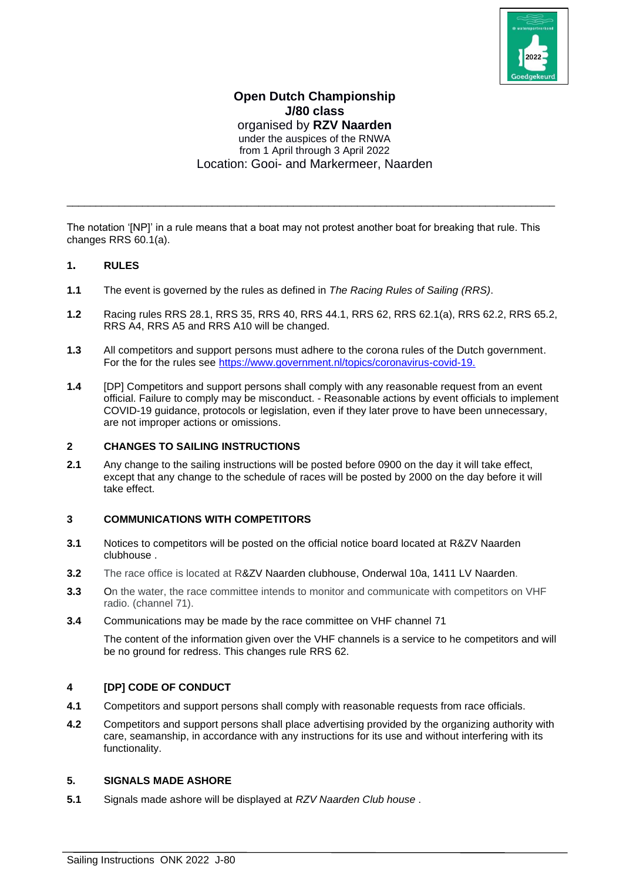

## **Open Dutch Championship J/80 class** organised by **RZV Naarden** under the auspices of the RNWA from 1 April through 3 April 2022 Location: Gooi- and Markermeer, Naarden

The notation '[NP]' in a rule means that a boat may not protest another boat for breaking that rule. This changes RRS 60.1(a).

\_\_\_\_\_\_\_\_\_\_\_\_\_\_\_\_\_\_\_\_\_\_\_\_\_\_\_\_\_\_\_\_\_\_\_\_\_\_\_\_\_\_\_\_\_\_\_\_\_\_\_\_\_\_\_\_\_\_\_\_\_\_\_\_\_\_\_\_\_\_\_\_\_\_\_\_\_\_\_\_\_\_\_\_

#### **1. RULES**

- **1.1** The event is governed by the rules as defined in *The Racing Rules of Sailing (RRS)*.
- **1.2** Racing rules RRS 28.1, RRS 35, RRS 40, RRS 44.1, RRS 62, RRS 62.1(a), RRS 62.2, RRS 65.2, RRS A4, RRS A5 and RRS A10 will be changed.
- **1.3** All competitors and support persons must adhere to the corona rules of the Dutch government. For the for the rules see [https://www.government.nl/topics/coronavirus-covid-19.](https://www.government.nl/topics/coronavirus-covid-19)
- **1.4** [DP] Competitors and support persons shall comply with any reasonable request from an event official. Failure to comply may be misconduct. - Reasonable actions by event officials to implement COVID-19 guidance, protocols or legislation, even if they later prove to have been unnecessary, are not improper actions or omissions.

#### **2 CHANGES TO SAILING INSTRUCTIONS**

**2.1** Any change to the sailing instructions will be posted before 0900 on the day it will take effect, except that any change to the schedule of races will be posted by 2000 on the day before it will take effect.

#### **3 COMMUNICATIONS WITH COMPETITORS**

- **3.1** Notices to competitors will be posted on the official notice board located at R&ZV Naarden clubhouse .
- **3.2** The race office is located at R&ZV Naarden clubhouse, Onderwal 10a, 1411 LV Naarden.
- **3.3** On the water, the race committee intends to monitor and communicate with competitors on VHF radio. (channel 71).
- **3.4** Communications may be made by the race committee on VHF channel 71

The content of the information given over the VHF channels is a service to he competitors and will be no ground for redress. This changes rule RRS 62.

#### **4 [DP] CODE OF CONDUCT**

- **4.1** Competitors and support persons shall comply with reasonable requests from race officials.
- **4.2** Competitors and support persons shall place advertising provided by the organizing authority with care, seamanship, in accordance with any instructions for its use and without interfering with its functionality.

#### **5. SIGNALS MADE ASHORE**

**5.1** Signals made ashore will be displayed at *RZV Naarden Club house* .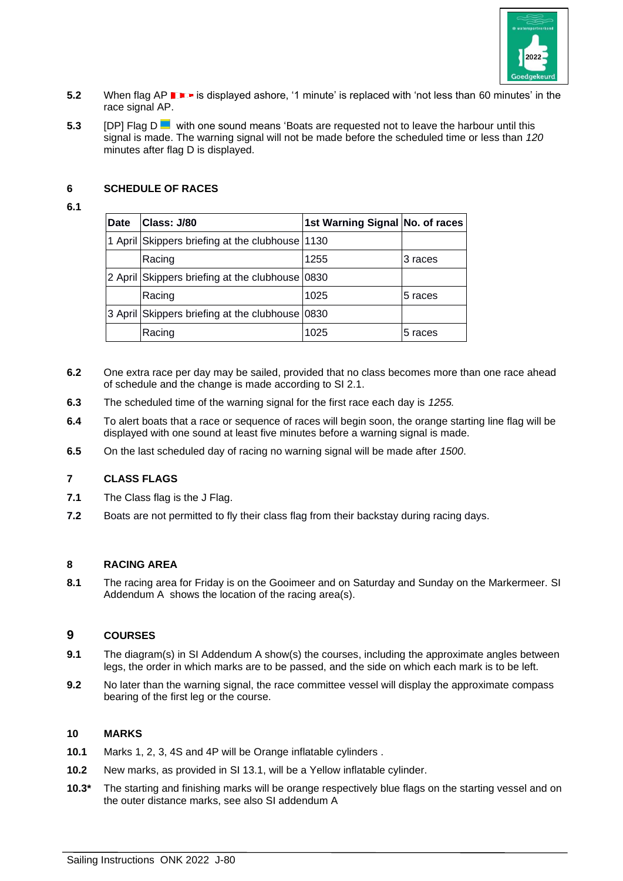

- **5.2** When flag AP **is displayed ashore, '1 minute' is replaced with 'not less than 60 minutes' in the** race signal AP.
- **5.3** [DP] Flag D with one sound means 'Boats are requested not to leave the harbour until this signal is made. The warning signal will not be made before the scheduled time or less than *120*  minutes after flag D is displayed.

### **6 SCHEDULE OF RACES**

#### **6.1**

| <b>Date</b> | Class: J/80                                     | 1st Warning Signal No. of races |         |
|-------------|-------------------------------------------------|---------------------------------|---------|
|             | 1 April Skippers briefing at the clubhouse 1130 |                                 |         |
|             | Racing                                          | 1255                            | 3 races |
|             | 2 April Skippers briefing at the clubhouse 0830 |                                 |         |
|             | Racing                                          | 1025                            | 5 races |
|             | 3 April Skippers briefing at the clubhouse 0830 |                                 |         |
|             | Racing                                          | 1025                            | 5 races |

- **6.2** One extra race per day may be sailed, provided that no class becomes more than one race ahead of schedule and the change is made according to SI 2.1.
- **6.3** The scheduled time of the warning signal for the first race each day is *1255.*
- **6.4** To alert boats that a race or sequence of races will begin soon, the orange starting line flag will be displayed with one sound at least five minutes before a warning signal is made.
- **6.5** On the last scheduled day of racing no warning signal will be made after *1500*.

#### **7 CLASS FLAGS**

- **7.1** The Class flag is the J Flag.
- **7.2** Boats are not permitted to fly their class flag from their backstay during racing days.

#### **8 RACING AREA**

**8.1** The racing area for Friday is on the Gooimeer and on Saturday and Sunday on the Markermeer. SI Addendum A shows the location of the racing area(s).

#### **9 COURSES**

- **9.1** The diagram(s) in SI Addendum A show(s) the courses, including the approximate angles between legs, the order in which marks are to be passed, and the side on which each mark is to be left.
- **9.2** No later than the warning signal, the race committee vessel will display the approximate compass bearing of the first leg or the course.

#### **10 MARKS**

- **10.1** Marks 1, 2, 3, 4S and 4P will be Orange inflatable cylinders .
- **10.2** New marks, as provided in SI 13.1, will be a Yellow inflatable cylinder.
- **10.3\*** The starting and finishing marks will be orange respectively blue flags on the starting vessel and on the outer distance marks, see also SI addendum A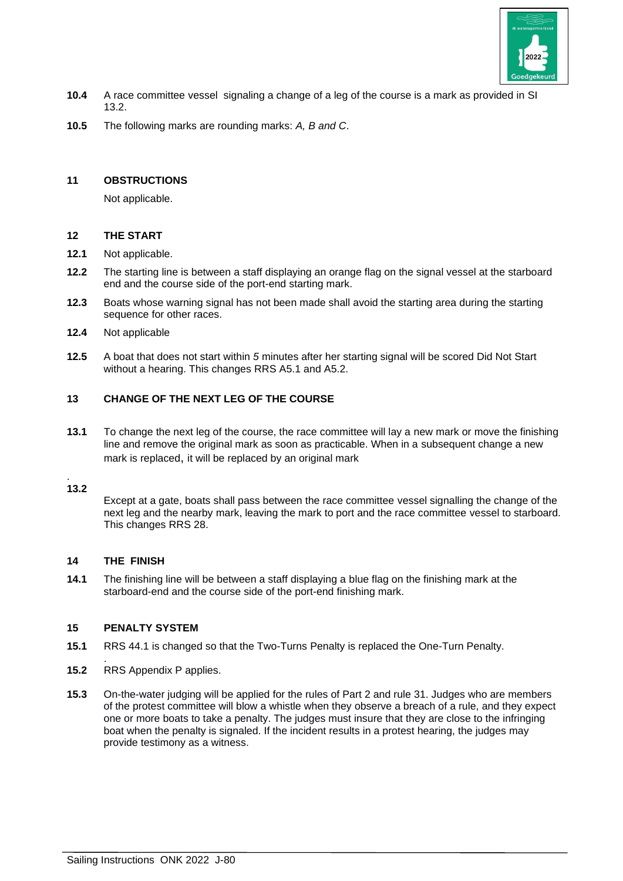

- **10.4** A race committee vessel signaling a change of a leg of the course is a mark as provided in SI 13.2.
- **10.5** The following marks are rounding marks: *A, B and C*.

## **11 OBSTRUCTIONS**

Not applicable.

#### **12 THE START**

- **12.1** Not applicable.
- **12.2** The starting line is between a staff displaying an orange flag on the signal vessel at the starboard end and the course side of the port-end starting mark.
- **12.3** Boats whose warning signal has not been made shall avoid the starting area during the starting sequence for other races.
- **12.4** Not applicable
- **12.5** A boat that does not start within *5* minutes after her starting signal will be scored Did Not Start without a hearing. This changes RRS A5.1 and A5.2.

## **13 CHANGE OF THE NEXT LEG OF THE COURSE**

**13.1** To change the next leg of the course, the race committee will lay a new mark or move the finishing line and remove the original mark as soon as practicable. When in a subsequent change a new mark is replaced, it will be replaced by an original mark

#### . **13.2**

Except at a gate, boats shall pass between the race committee vessel signalling the change of the next leg and the nearby mark, leaving the mark to port and the race committee vessel to starboard. This changes RRS 28.

## **14 THE FINISH**

**14.1** The finishing line will be between a staff displaying a blue flag on the finishing mark at the starboard-end and the course side of the port-end finishing mark.

#### **15 PENALTY SYSTEM**

- **15.1** RRS 44.1 is changed so that the Two-Turns Penalty is replaced the One-Turn Penalty.
- . **15.2** RRS Appendix P applies.
- **15.3** On-the-water judging will be applied for the rules of Part 2 and rule 31. Judges who are members of the protest committee will blow a whistle when they observe a breach of a rule, and they expect one or more boats to take a penalty. The judges must insure that they are close to the infringing boat when the penalty is signaled. If the incident results in a protest hearing, the judges may provide testimony as a witness.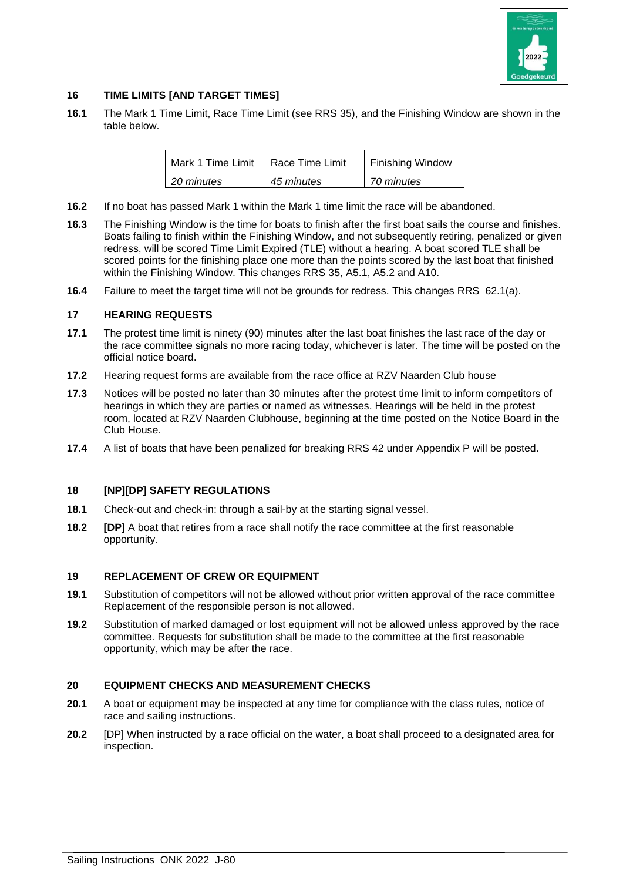

## **16 TIME LIMITS [AND TARGET TIMES]**

**16.1** The Mark 1 Time Limit, Race Time Limit (see RRS 35), and the Finishing Window are shown in the table below.

| Mark 1 Time Limit | Race Time Limit | <b>Finishing Window</b> |
|-------------------|-----------------|-------------------------|
| 20 minutes        | 45 minutes      | 70 minutes              |

- **16.2** If no boat has passed Mark 1 within the Mark 1 time limit the race will be abandoned.
- **16.3** The Finishing Window is the time for boats to finish after the first boat sails the course and finishes. Boats failing to finish within the Finishing Window, and not subsequently retiring, penalized or given redress, will be scored Time Limit Expired (TLE) without a hearing. A boat scored TLE shall be scored points for the finishing place one more than the points scored by the last boat that finished within the Finishing Window. This changes RRS 35, A5.1, A5.2 and A10.
- **16.4** Failure to meet the target time will not be grounds for redress. This changes RRS 62.1(a).

#### **17 HEARING REQUESTS**

- **17.1** The protest time limit is ninety (90) minutes after the last boat finishes the last race of the day or the race committee signals no more racing today, whichever is later. The time will be posted on the official notice board.
- **17.2** Hearing request forms are available from the race office at RZV Naarden Club house
- **17.3** Notices will be posted no later than 30 minutes after the protest time limit to inform competitors of hearings in which they are parties or named as witnesses. Hearings will be held in the protest room, located at RZV Naarden Clubhouse, beginning at the time posted on the Notice Board in the Club House.
- **17.4** A list of boats that have been penalized for breaking RRS 42 under Appendix P will be posted.

#### **18 [NP][DP] SAFETY REGULATIONS**

- **18.1** Check-out and check-in: through a sail-by at the starting signal vessel.
- **18.2 [DP]** A boat that retires from a race shall notify the race committee at the first reasonable opportunity.

#### **19 REPLACEMENT OF CREW OR EQUIPMENT**

- **19.1** Substitution of competitors will not be allowed without prior written approval of the race committee Replacement of the responsible person is not allowed.
- **19.2** Substitution of marked damaged or lost equipment will not be allowed unless approved by the race committee. Requests for substitution shall be made to the committee at the first reasonable opportunity, which may be after the race.

#### **20 EQUIPMENT CHECKS AND MEASUREMENT CHECKS**

- **20.1** A boat or equipment may be inspected at any time for compliance with the class rules, notice of race and sailing instructions.
- **20.2** [DP] When instructed by a race official on the water, a boat shall proceed to a designated area for inspection.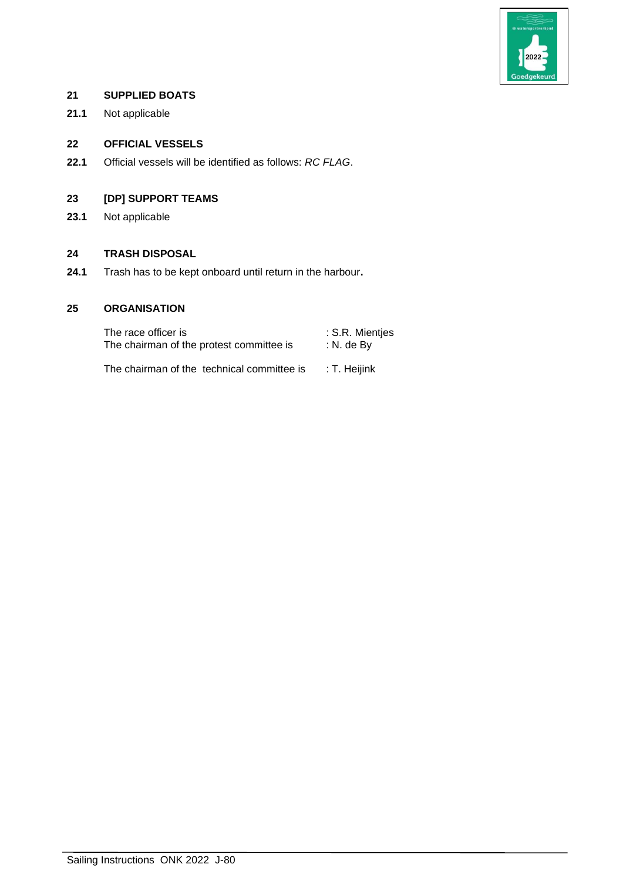

## **21 SUPPLIED BOATS**

**21.1** Not applicable

## **22 OFFICIAL VESSELS**

**22.1** Official vessels will be identified as follows: *RC FLAG*.

## **23 [DP] SUPPORT TEAMS**

**23.1** Not applicable

## **24 TRASH DISPOSAL**

**24.1** Trash has to be kept onboard until return in the harbour**.**

## **25 ORGANISATION**

The race officer is : S.R. Mientjes<br>The chairman of the protest committee is : N. de By The chairman of the protest committee is

The chairman of the technical committee is : T. Heijink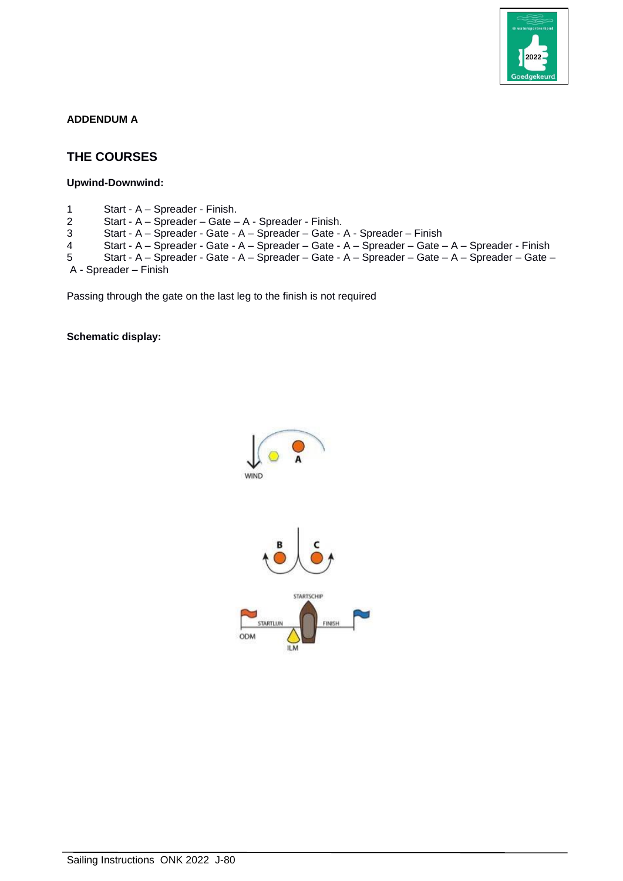

#### **ADDENDUM A**

# **THE COURSES**

**Upwind-Downwind:**

1 Start - A – Spreader - Finish. Start - A – Spreader – Gate – A - Spreader - Finish. Start - A – Spreader - Gate - A – Spreader – Gate - A - Spreader – Finish Start - A – Spreader - Gate - A – Spreader – Gate - A – Spreader – Gate – A – Spreader - Finish Start - A – Spreader - Gate - A – Spreader – Gate - A – Spreader – Gate – A – Spreader – Gate – A - Spreader – Finish

Passing through the gate on the last leg to the finish is not required

**Schematic display:**

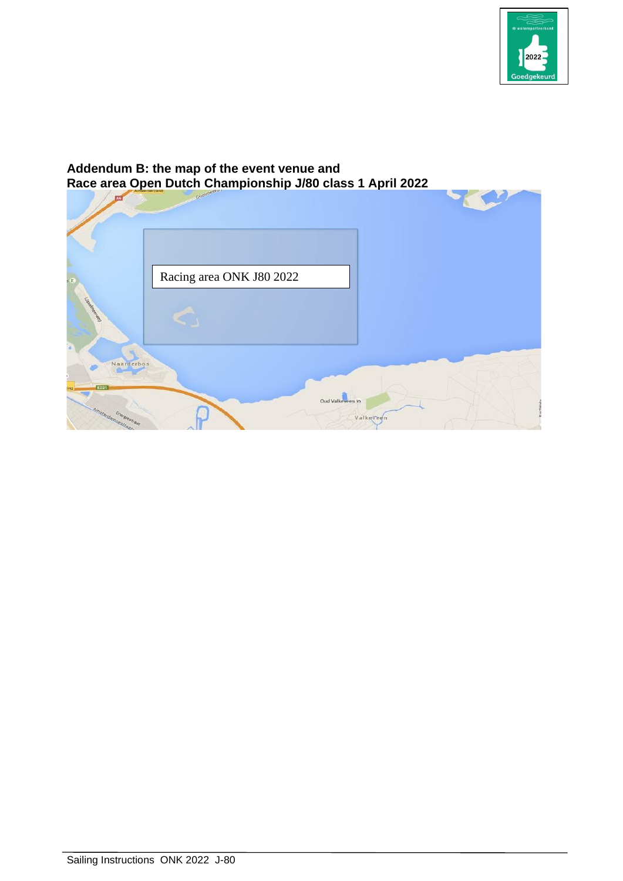

## **Addendum B: the map of the event venue and Race area Open Dutch Championship J/80 class 1 April 2022**

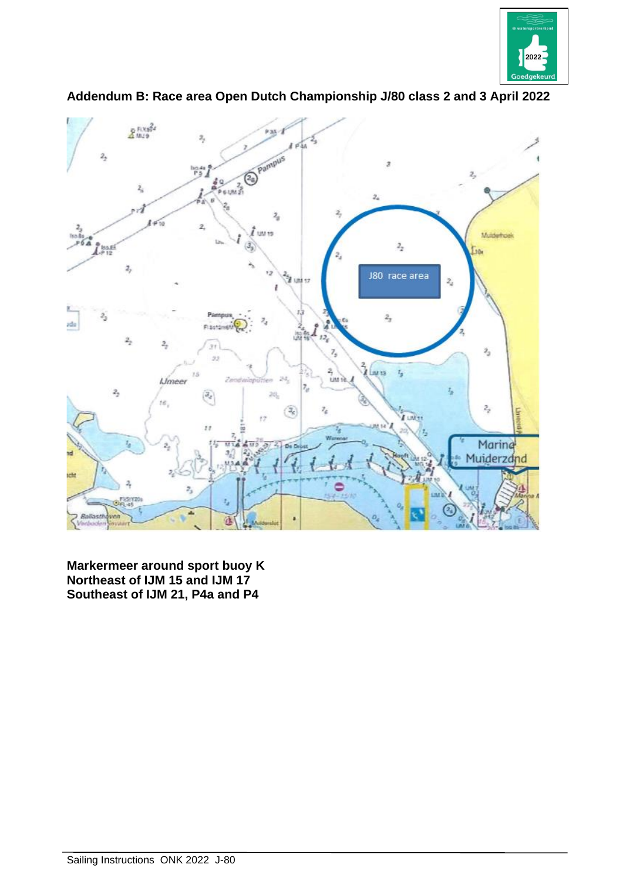



**Addendum B: Race area Open Dutch Championship J/80 class 2 and 3 April 2022**

**Markermeer around sport buoy K Northeast of IJM 15 and IJM 17 Southeast of IJM 21, P4a and P4**